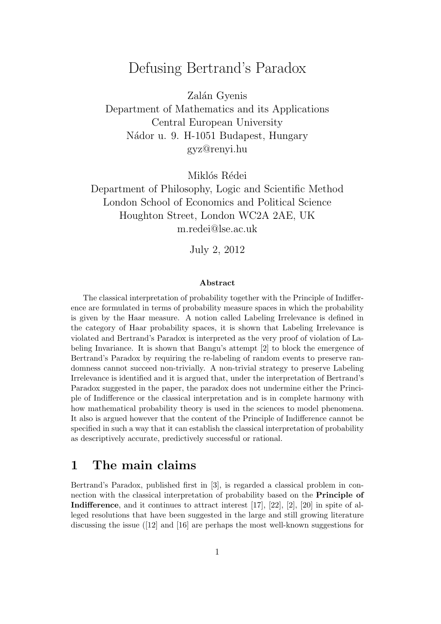# Defusing Bertrand's Paradox

Zalán Gyenis Department of Mathematics and its Applications Central European University Nádor u. 9. H-1051 Budapest, Hungary gyz@renyi.hu

Miklós Rédei

Department of Philosophy, Logic and Scientific Method London School of Economics and Political Science Houghton Street, London WC2A 2AE, UK m.redei@lse.ac.uk

July 2, 2012

#### Abstract

The classical interpretation of probability together with the Principle of Indifference are formulated in terms of probability measure spaces in which the probability is given by the Haar measure. A notion called Labeling Irrelevance is defined in the category of Haar probability spaces, it is shown that Labeling Irrelevance is violated and Bertrand's Paradox is interpreted as the very proof of violation of Labeling Invariance. It is shown that Bangu's attempt [2] to block the emergence of Bertrand's Paradox by requiring the re-labeling of random events to preserve randomness cannot succeed non-trivially. A non-trivial strategy to preserve Labeling Irrelevance is identified and it is argued that, under the interpretation of Bertrand's Paradox suggested in the paper, the paradox does not undermine either the Principle of Indifference or the classical interpretation and is in complete harmony with how mathematical probability theory is used in the sciences to model phenomena. It also is argued however that the content of the Principle of Indifference cannot be specified in such a way that it can establish the classical interpretation of probability as descriptively accurate, predictively successful or rational.

#### 1 The main claims

Bertrand's Paradox, published first in [3], is regarded a classical problem in connection with the classical interpretation of probability based on the Principle of **Indifference**, and it continues to attract interest  $[17]$ ,  $[22]$ ,  $[2]$ ,  $[20]$  in spite of alleged resolutions that have been suggested in the large and still growing literature discussing the issue ([12] and [16] are perhaps the most well-known suggestions for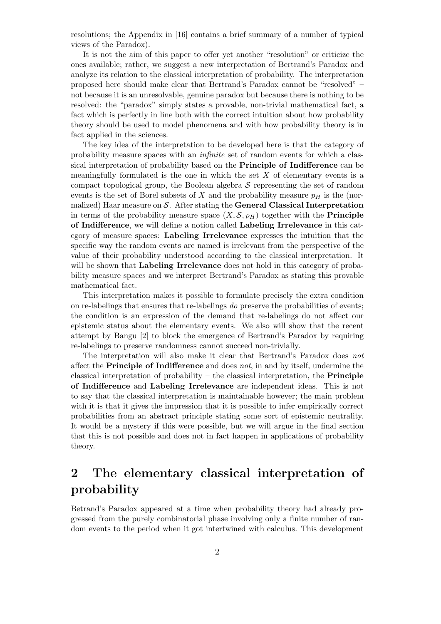resolutions; the Appendix in [16] contains a brief summary of a number of typical views of the Paradox).

It is not the aim of this paper to offer yet another "resolution" or criticize the ones available; rather, we suggest a new interpretation of Bertrand's Paradox and analyze its relation to the classical interpretation of probability. The interpretation proposed here should make clear that Bertrand's Paradox cannot be "resolved" – not because it is an unresolvable, genuine paradox but because there is nothing to be resolved: the "paradox" simply states a provable, non-trivial mathematical fact, a fact which is perfectly in line both with the correct intuition about how probability theory should be used to model phenomena and with how probability theory is in fact applied in the sciences.

The key idea of the interpretation to be developed here is that the category of probability measure spaces with an infinite set of random events for which a classical interpretation of probability based on the Principle of Indifference can be meaningfully formulated is the one in which the set  $X$  of elementary events is a compact topological group, the Boolean algebra  $S$  representing the set of random events is the set of Borel subsets of X and the probability measure  $p<sub>H</sub>$  is the (normalized) Haar measure on  $S$ . After stating the **General Classical Interpretation** in terms of the probability measure space  $(X, \mathcal{S}, p_H)$  together with the **Principle** of Indifference, we will define a notion called Labeling Irrelevance in this category of measure spaces: Labeling Irrelevance expresses the intuition that the specific way the random events are named is irrelevant from the perspective of the value of their probability understood according to the classical interpretation. It will be shown that **Labeling Irrelevance** does not hold in this category of probability measure spaces and we interpret Bertrand's Paradox as stating this provable mathematical fact.

This interpretation makes it possible to formulate precisely the extra condition on re-labelings that ensures that re-labelings do preserve the probabilities of events; the condition is an expression of the demand that re-labelings do not affect our epistemic status about the elementary events. We also will show that the recent attempt by Bangu [2] to block the emergence of Bertrand's Paradox by requiring re-labelings to preserve randomness cannot succeed non-trivially.

The interpretation will also make it clear that Bertrand's Paradox does not affect the **Principle of Indifference** and does *not*, in and by itself, undermine the classical interpretation of probability – the classical interpretation, the **Principle** of Indifference and Labeling Irrelevance are independent ideas. This is not to say that the classical interpretation is maintainable however; the main problem with it is that it gives the impression that it is possible to infer empirically correct probabilities from an abstract principle stating some sort of epistemic neutrality. It would be a mystery if this were possible, but we will argue in the final section that this is not possible and does not in fact happen in applications of probability theory.

## 2 The elementary classical interpretation of probability

Betrand's Paradox appeared at a time when probability theory had already progressed from the purely combinatorial phase involving only a finite number of random events to the period when it got intertwined with calculus. This development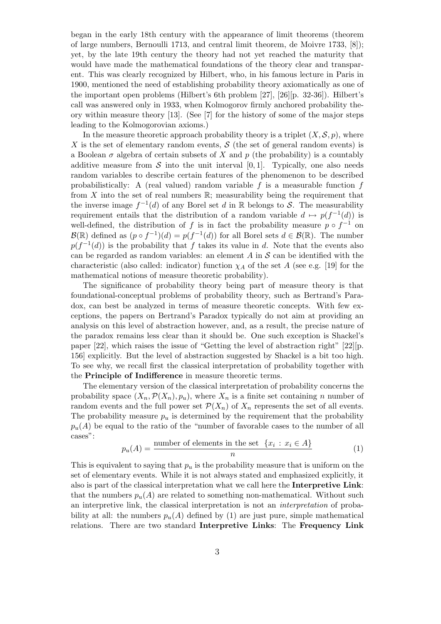began in the early 18th century with the appearance of limit theorems (theorem of large numbers, Bernoulli 1713, and central limit theorem, de Moivre 1733, [8]); yet, by the late 19th century the theory had not yet reached the maturity that would have made the mathematical foundations of the theory clear and transparent. This was clearly recognized by Hilbert, who, in his famous lecture in Paris in 1900, mentioned the need of establishing probability theory axiomatically as one of the important open problems (Hilbert's 6th problem [27], [26][p. 32-36]). Hilbert's call was answered only in 1933, when Kolmogorov firmly anchored probability theory within measure theory [13]. (See [7] for the history of some of the major steps leading to the Kolmogorovian axioms.)

In the measure theoretic approach probability theory is a triplet  $(X, \mathcal{S}, p)$ , where X is the set of elementary random events,  $\mathcal S$  (the set of general random events) is a Boolean  $\sigma$  algebra of certain subsets of X and p (the probability) is a countably additive measure from  $\mathcal S$  into the unit interval [0, 1]. Typically, one also needs random variables to describe certain features of the phenomenon to be described probabilistically: A (real valued) random variable f is a measurable function f from  $X$  into the set of real numbers  $\mathbb{R}$ ; measurability being the requirement that the inverse image  $f^{-1}(d)$  of any Borel set d in R belongs to S. The measurability requirement entails that the distribution of a random variable  $d \mapsto p(f^{-1}(d))$  is well-defined, the distribution of f is in fact the probability measure  $p \circ f^{-1}$  on  $\mathcal{B}(\mathbb{R})$  defined as  $(p \circ f^{-1})(d) = p(f^{-1}(d))$  for all Borel sets  $d \in \mathcal{B}(\mathbb{R})$ . The number  $p(f^{-1}(d))$  is the probability that f takes its value in d. Note that the events also can be regarded as random variables: an element  $A$  in  $S$  can be identified with the characteristic (also called: indicator) function  $\chi_A$  of the set A (see e.g. [19] for the mathematical notions of measure theoretic probability).

The significance of probability theory being part of measure theory is that foundational-conceptual problems of probability theory, such as Bertrand's Paradox, can best be analyzed in terms of measure theoretic concepts. With few exceptions, the papers on Bertrand's Paradox typically do not aim at providing an analysis on this level of abstraction however, and, as a result, the precise nature of the paradox remains less clear than it should be. One such exception is Shackel's paper [22], which raises the issue of "Getting the level of abstraction right" [22][p. 156] explicitly. But the level of abstraction suggested by Shackel is a bit too high. To see why, we recall first the classical interpretation of probability together with the Principle of Indifference in measure theoretic terms.

The elementary version of the classical interpretation of probability concerns the probability space  $(X_n, \mathcal{P}(X_n), p_u)$ , where  $X_n$  is a finite set containing n number of random events and the full power set  $\mathcal{P}(X_n)$  of  $X_n$  represents the set of all events. The probability measure  $p_u$  is determined by the requirement that the probability  $p_u(A)$  be equal to the ratio of the "number of favorable cases to the number of all cases":

$$
p_u(A) = \frac{\text{number of elements in the set } \{x_i : x_i \in A\}}{n} \tag{1}
$$

This is equivalent to saying that  $p_u$  is the probability measure that is uniform on the set of elementary events. While it is not always stated and emphasized explicitly, it also is part of the classical interpretation what we call here the Interpretive Link: that the numbers  $p_u(A)$  are related to something non-mathematical. Without such an interpretive link, the classical interpretation is not an interpretation of probability at all: the numbers  $p_u(A)$  defined by (1) are just pure, simple mathematical relations. There are two standard Interpretive Links: The Frequency Link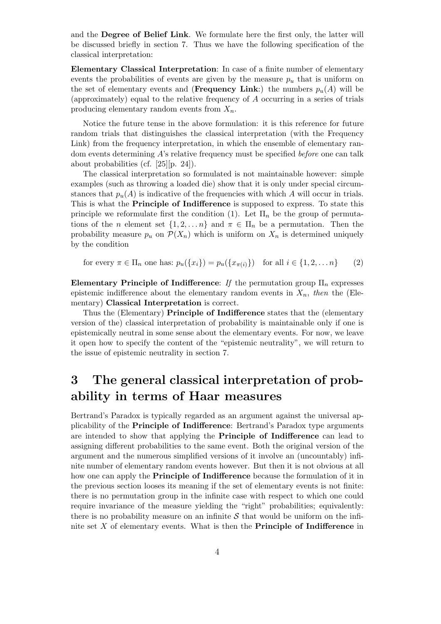and the Degree of Belief Link. We formulate here the first only, the latter will be discussed briefly in section 7. Thus we have the following specification of the classical interpretation:

Elementary Classical Interpretation: In case of a finite number of elementary events the probabilities of events are given by the measure  $p_u$  that is uniform on the set of elementary events and (Frequency Link:) the numbers  $p_u(A)$  will be (approximately) equal to the relative frequency of A occurring in a series of trials producing elementary random events from  $X_n$ .

Notice the future tense in the above formulation: it is this reference for future random trials that distinguishes the classical interpretation (with the Frequency Link) from the frequency interpretation, in which the ensemble of elementary random events determining A's relative frequency must be specified before one can talk about probabilities (cf. [25][p. 24]).

The classical interpretation so formulated is not maintainable however: simple examples (such as throwing a loaded die) show that it is only under special circumstances that  $p_u(A)$  is indicative of the frequencies with which A will occur in trials. This is what the Principle of Indifference is supposed to express. To state this principle we reformulate first the condition (1). Let  $\Pi_n$  be the group of permutations of the *n* element set  $\{1, 2, \ldots n\}$  and  $\pi \in \Pi_n$  be a permutation. Then the probability measure  $p_u$  on  $\mathcal{P}(X_n)$  which is uniform on  $X_n$  is determined uniquely by the condition

for every  $\pi \in \Pi_n$  one has:  $p_u({x_i}) = p_u({x_{\pi(i)}})$  for all  $i \in {1, 2, \ldots n}$  (2)

Elementary Principle of Indifference: If the permutation group  $\Pi_n$  expresses epistemic indifference about the elementary random events in  $X_n$ , then the (Elementary) Classical Interpretation is correct.

Thus the (Elementary) Principle of Indifference states that the (elementary version of the) classical interpretation of probability is maintainable only if one is epistemically neutral in some sense about the elementary events. For now, we leave it open how to specify the content of the "epistemic neutrality", we will return to the issue of epistemic neutrality in section 7.

# 3 The general classical interpretation of probability in terms of Haar measures

Bertrand's Paradox is typically regarded as an argument against the universal applicability of the Principle of Indifference: Bertrand's Paradox type arguments are intended to show that applying the Principle of Indifference can lead to assigning different probabilities to the same event. Both the original version of the argument and the numerous simplified versions of it involve an (uncountably) infinite number of elementary random events however. But then it is not obvious at all how one can apply the **Principle of Indifference** because the formulation of it in the previous section looses its meaning if the set of elementary events is not finite: there is no permutation group in the infinite case with respect to which one could require invariance of the measure yielding the "right" probabilities; equivalently: there is no probability measure on an infinite  $S$  that would be uniform on the infinite set  $X$  of elementary events. What is then the **Principle of Indifference** in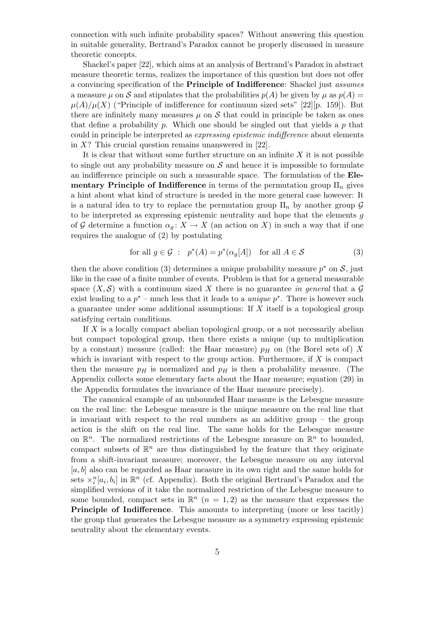connection with such infinite probability spaces? Without answering this question in suitable generality, Bertrand's Paradox cannot be properly discussed in measure theoretic concepts.

Shackel's paper [22], which aims at an analysis of Bertrand's Paradox in abstract measure theoretic terms, realizes the importance of this question but does not offer a convincing specification of the Principle of Indifference: Shackel just assumes a measure  $\mu$  on S and stipulates that the probabilities  $p(A)$  be given by  $\mu$  as  $p(A)$  =  $\mu(A)/\mu(X)$  ("Principle of indifference for continuum sized sets" [22][p. 159]). But there are infinitely many measures  $\mu$  on S that could in principle be taken as ones that define a probability p. Which one should be singled out that yields a p that could in principle be interpreted as expressing epistemic indifference about elements in  $X$ ? This crucial question remains unanswered in [22].

It is clear that without some further structure on an infinite  $X$  it is not possible to single out any probability measure on  $\mathcal S$  and hence it is impossible to formulate an indifference principle on such a measurable space. The formulation of the Elementary Principle of Indifference in terms of the permutation group  $\Pi_n$  gives a hint about what kind of structure is needed in the more general case however: It is a natural idea to try to replace the permutation group  $\Pi_n$  by another group  $\mathcal G$ to be interpreted as expressing epistemic neutrality and hope that the elements g of G determine a function  $\alpha_q: X \to X$  (an action on X) in such a way that if one requires the analogue of (2) by postulating

for all 
$$
g \in \mathcal{G}
$$
:  $p^*(A) = p^*(\alpha_g[A])$  for all  $A \in \mathcal{S}$  (3)

then the above condition (3) determines a unique probability measure  $p^*$  on  $\mathcal{S}$ , just like in the case of a finite number of events. Problem is that for a general measurable space  $(X, \mathcal{S})$  with a continuum sized X there is no guarantee in general that a G exist leading to a  $p^*$  – much less that it leads to a *unique*  $p^*$ . There is however such a guarantee under some additional assumptions: If X itself is a topological group satisfying certain conditions.

If  $X$  is a locally compact abelian topological group, or a not necessarily abelian but compact topological group, then there exists a unique (up to multiplication by a constant) measure (called: the Haar measure)  $p<sub>H</sub>$  on (the Borel sets of) X which is invariant with respect to the group action. Furthermore, if  $X$  is compact then the measure  $p<sub>H</sub>$  is normalized and  $p<sub>H</sub>$  is then a probability measure. (The Appendix collects some elementary facts about the Haar measure; equation (29) in the Appendix formulates the invariance of the Haar measure precisely).

The canonical example of an unbounded Haar measure is the Lebesgue measure on the real line: the Lebesgue measure is the unique measure on the real line that is invariant with respect to the real numbers as an additive group – the group action is the shift on the real line. The same holds for the Lebesgue measure on  $\mathbb{R}^n$ . The normalized restrictions of the Lebesgue measure on  $\mathbb{R}^n$  to bounded, compact subsets of  $\mathbb{R}^n$  are thus distinguished by the feature that they originate from a shift-invariant measure; moreover, the Lebesgue measure on any interval  $[a, b]$  also can be regarded as Haar measure in its own right and the same holds for sets  $\times_i^n[a_i, b_i]$  in  $\mathbb{R}^n$  (cf. Appendix). Both the original Bertrand's Paradox and the simplified versions of it take the normalized restriction of the Lebesgue measure to some bounded, compact sets in  $\mathbb{R}^n$   $(n = 1, 2)$  as the measure that expresses the Principle of Indifference. This amounts to interpreting (more or less tacitly) the group that generates the Lebesgue measure as a symmetry expressing epistemic neutrality about the elementary events.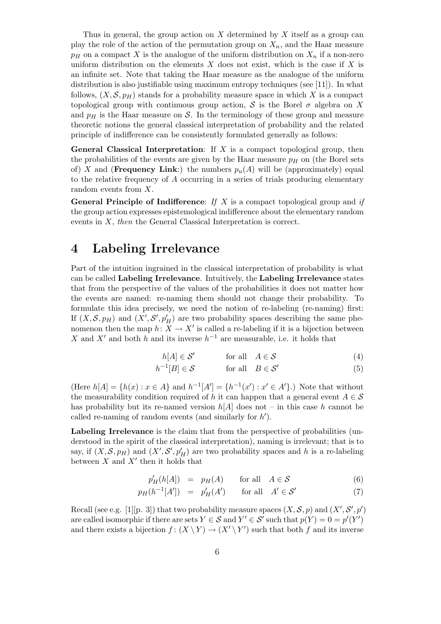Thus in general, the group action on  $X$  determined by  $X$  itself as a group can play the role of the action of the permutation group on  $X_n$ , and the Haar measure  $p_H$  on a compact X is the analogue of the uniform distribution on  $X_n$  if a non-zero uniform distribution on the elements  $X$  does not exist, which is the case if  $X$  is an infinite set. Note that taking the Haar measure as the analogue of the uniform distribution is also justifiable using maximum entropy techniques (see [11]). In what follows,  $(X, \mathcal{S}, p_H)$  stands for a probability measure space in which X is a compact topological group with continuous group action, S is the Borel  $\sigma$  algebra on X and  $p<sub>H</sub>$  is the Haar measure on S. In the terminology of these group and measure theoretic notions the general classical interpretation of probability and the related principle of indifference can be consistently formulated generally as follows:

**General Classical Interpretation:** If X is a compact topological group, then the probabilities of the events are given by the Haar measure  $p<sub>H</sub>$  on (the Borel sets of) X and (Frequency Link:) the numbers  $p_u(A)$  will be (approximately) equal to the relative frequency of  $A$  occurring in a series of trials producing elementary random events from X.

**General Principle of Indifference:** If X is a compact topological group and if the group action expresses epistemological indifference about the elementary random events in X, then the General Classical Interpretation is correct.

## 4 Labeling Irrelevance

Part of the intuition ingrained in the classical interpretation of probability is what can be called Labeling Irrelevance. Intuitively, the Labeling Irrelevance states that from the perspective of the values of the probabilities it does not matter how the events are named: re-naming them should not change their probability. To formulate this idea precisely, we need the notion of re-labeling (re-naming) first: If  $(X, \mathcal{S}, p)$  and  $(X', \mathcal{S}', p'_H)$  are two probability spaces describing the same phenomenon then the map  $h: X \to X'$  is called a re-labeling if it is a bijection between X and X' and both h and its inverse  $h^{-1}$  are measurable, i.e. it holds that

$$
h[A] \in \mathcal{S}' \qquad \text{for all} \quad A \in \mathcal{S} \tag{4}
$$

$$
h^{-1}[B] \in \mathcal{S} \qquad \text{for all} \quad B \in \mathcal{S}' \tag{5}
$$

(Here  $h[A] = \{h(x) : x \in A\}$  and  $h^{-1}[A'] = \{h^{-1}(x') : x' \in A'\}$ .) Note that without the measurability condition required of h it can happen that a general event  $A \in \mathcal{S}$ has probability but its re-named version  $h[A]$  does not – in this case h cannot be called re-naming of random events (and similarly for  $h'$ ).

Labeling Irrelevance is the claim that from the perspective of probabilities (understood in the spirit of the classical interpretation), naming is irrelevant; that is to say, if  $(X, \mathcal{S}, p_H)$  and  $(X', \mathcal{S}', p'_H)$  are two probability spaces and h is a re-labeling between  $X$  and  $X'$  then it holds that

$$
p'_H(h[A]) = p_H(A) \quad \text{for all} \quad A \in \mathcal{S} \tag{6}
$$

$$
p_H(h^{-1}[A']) = p'_H(A') \qquad \text{for all} \quad A' \in \mathcal{S}' \tag{7}
$$

Recall (see e.g. [1][p. 3]) that two probability measure spaces  $(X, \mathcal{S}, p)$  and  $(X', \mathcal{S}', p')$ are called isomorphic if there are sets  $Y \in \mathcal{S}$  and  $Y' \in \mathcal{S}'$  such that  $p(Y) = 0 = p'(Y')$ and there exists a bijection  $f: (X \ Y) \to (X' \ Y')$  such that both f and its inverse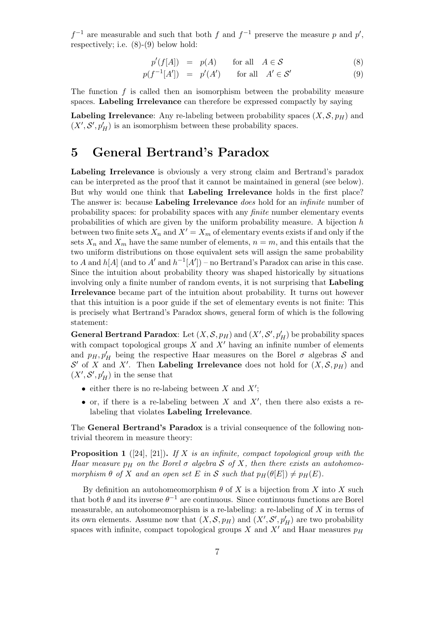$f^{-1}$  are measurable and such that both f and  $f^{-1}$  preserve the measure p and p', respectively; i.e. (8)-(9) below hold:

$$
p'(f[A]) = p(A) \quad \text{for all} \quad A \in \mathcal{S} \tag{8}
$$

$$
p(f^{-1}[A']) = p'(A') \quad \text{for all} \quad A' \in \mathcal{S}' \tag{9}
$$

The function  $f$  is called then an isomorphism between the probability measure spaces. Labeling Irrelevance can therefore be expressed compactly by saying

Labeling Irrelevance: Any re-labeling between probability spaces  $(X, \mathcal{S}, p_H)$  and  $(X', \mathcal{S}', p_H')$  is an isomorphism between these probability spaces.

## 5 General Bertrand's Paradox

Labeling Irrelevance is obviously a very strong claim and Bertrand's paradox can be interpreted as the proof that it cannot be maintained in general (see below). But why would one think that Labeling Irrelevance holds in the first place? The answer is: because Labeling Irrelevance does hold for an *infinite* number of probability spaces: for probability spaces with any finite number elementary events probabilities of which are given by the uniform probability measure. A bijection h between two finite sets  $X_n$  and  $X' = X_m$  of elementary events exists if and only if the sets  $X_n$  and  $X_m$  have the same number of elements,  $n = m$ , and this entails that the two uniform distributions on those equivalent sets will assign the same probability to A and  $h[A]$  (and to A' and  $h^{-1}[A'])$  – no Bertrand's Paradox can arise in this case. Since the intuition about probability theory was shaped historically by situations involving only a finite number of random events, it is not surprising that Labeling Irrelevance became part of the intuition about probability. It turns out however that this intuition is a poor guide if the set of elementary events is not finite: This is precisely what Bertrand's Paradox shows, general form of which is the following statement:

**General Bertrand Paradox**: Let  $(X, \mathcal{S}, p_H)$  and  $(X', \mathcal{S}', p'_H)$  be probability spaces with compact topological groups  $X$  and  $X'$  having an infinite number of elements and  $p_H$ ,  $p'_H$  being the respective Haar measures on the Borel  $\sigma$  algebras  $\mathcal S$  and  $\mathcal{S}'$  of X and X'. Then Labeling Irrelevance does not hold for  $(X, \mathcal{S}, p_H)$  and  $(X',\mathcal{S}',p'_H)$  in the sense that

- either there is no re-labeing between X and  $X'$ ;
- or, if there is a re-labeling between  $X$  and  $X'$ , then there also exists a relabeling that violates Labeling Irrelevance.

The General Bertrand's Paradox is a trivial consequence of the following nontrivial theorem in measure theory:

**Proposition 1** ([24], [21]). If X is an infinite, compact topological group with the Haar measure  $p_H$  on the Borel  $\sigma$  algebra S of X, then there exists an autohomeomorphism  $\theta$  of X and an open set E in S such that  $p_H(\theta[E]) \neq p_H(E)$ .

By definition an autohomeomorphism  $\theta$  of X is a bijection from X into X such that both  $\theta$  and its inverse  $\theta^{-1}$  are continuous. Since continuous functions are Borel measurable, an autohomeomorphism is a re-labeling: a re-labeling of  $X$  in terms of its own elements. Assume now that  $(X, \mathcal{S}, p_H)$  and  $(X', \mathcal{S}', p'_H)$  are two probability spaces with infinite, compact topological groups X and X' and Haar measures  $p_H$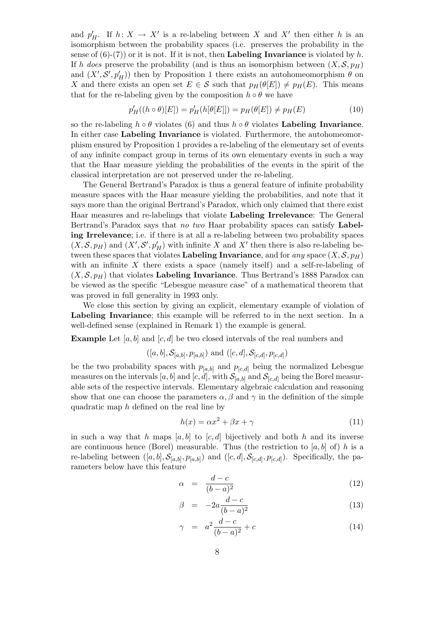and  $p'_H$ . If  $h: X \to X'$  is a re-labeling between X and X' then either h is an isomorphism between the probability spaces (i.e. preserves the probability in the sense of  $(6)-(7)$  or it is not. If it is not, then **Labeling Invariance** is violated by h. If h does preserve the probability (and is thus an isomorphism between  $(X, \mathcal{S}, p_H)$ and  $(X', \mathcal{S}', p'_H)$ ) then by Proposition 1 there exists an autohomeomorphism  $\theta$  on X and there exists an open set  $E \in \mathcal{S}$  such that  $p_H(\theta|E|) \neq p_H(E)$ . This means that for the re-labeling given by the composition  $h \circ \theta$  we have

$$
p'_{H}((h \circ \theta)[E]) = p'_{H}(h[\theta[E]]) = p_{H}(\theta[E]) \neq p_{H}(E)
$$
\n(10)

so the re-labeling  $h \circ \theta$  violates (6) and thus  $h \circ \theta$  violates Labeling Invariance. In either case Labeling Invariance is violated. Furthermore, the autohomeomorphism ensured by Proposition 1 provides a re-labeling of the elementary set of events of any infinite compact group in terms of its own elementary events in such a way that the Haar measure yielding the probabilities of the events in the spirit of the classical interpretation are not preserved under the re-labeling.

The General Bertrand's Paradox is thus a general feature of infinite probability measure spaces with the Haar measure yielding the probabilities, and note that it says more than the original Bertrand's Paradox, which only claimed that there exist Haar measures and re-labelings that violate Labeling Irrelevance: The General Bertrand's Paradox says that no two Haar probability spaces can satisfy Labeling Irrelevance; i.e. if there is at all a re-labeling between two probability spaces  $(X, \mathcal{S}, p_H)$  and  $(X', \mathcal{S}', p'_H)$  with infinite X and X' then there is also re-labeling between these spaces that violates Labeling Invariance, and for any space  $(X, \mathcal{S}, p_H)$ with an infinite  $X$  there exists a space (namely itself) and a self-re-labeling of  $(X, \mathcal{S}, p_H)$  that violates Labeling Invariance. Thus Bertrand's 1888 Paradox can be viewed as the specific "Lebesgue measure case" of a mathematical theorem that was proved in full generality in 1993 only.

We close this section by giving an explicit, elementary example of violation of Labeling Invariance; this example will be referred to in the next section. In a well-defined sense (explained in Remark 1) the example is general.

**Example** Let  $[a, b]$  and  $[c, d]$  be two closed intervals of the real numbers and

$$
((a, b], S_{[a,b]}, p_{[a,b]})
$$
 and  $((c, d], S_{[c,d]}, p_{[c,d]})$ 

be the two probability spaces with  $p_{[a,b]}$  and  $p_{[c,d]}$  being the normalized Lebesgue measures on the intervals  $[a, b]$  and  $[c, d]$ , with  $\mathcal{S}_{[a, b]}$  and  $\mathcal{S}_{[c, d]}$  being the Borel measurable sets of the respective intervals. Elementary algebraic calculation and reasoning show that one can choose the parameters  $\alpha$ ,  $\beta$  and  $\gamma$  in the definition of the simple quadratic map h defined on the real line by

$$
h(x) = \alpha x^2 + \beta x + \gamma \tag{11}
$$

in such a way that h maps  $[a, b]$  to  $[c, d]$  bijectively and both h and its inverse are continuous hence (Borel) measurable. Thus (the restriction to [a, b] of) h is a re-labeling between  $([a, b], \mathcal{S}_{[a,b]}, p_{[a,b]})$  and  $([c, d], \mathcal{S}_{[c,d]}, p_{[c,d]})$ . Specifically, the parameters below have this feature

$$
\alpha = \frac{d-c}{(b-a)^2} \tag{12}
$$

$$
\beta = -2a \frac{d-c}{(b-a)^2} \tag{13}
$$

$$
\gamma = a^2 \frac{d-c}{(b-a)^2} + c \tag{14}
$$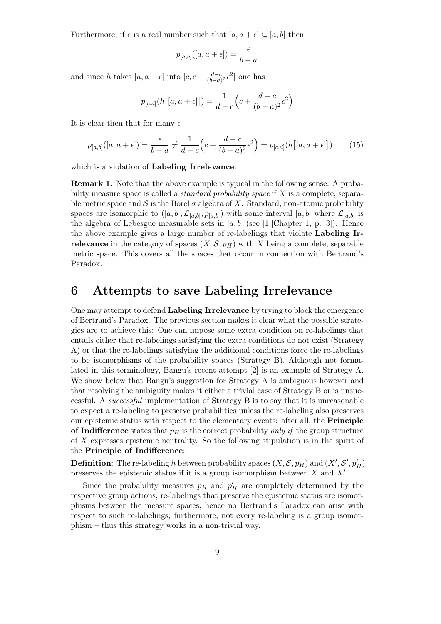Furthermore, if  $\epsilon$  is a real number such that  $[a, a + \epsilon] \subseteq [a, b]$  then

$$
p_{[a,b]}([a,a+\epsilon]) = \frac{\epsilon}{b-a}
$$

and since h takes  $[a, a + \epsilon]$  into  $[c, c + \frac{d-c}{(b-a)}]$  $\frac{d-c}{(b-a)^2}$  ∈<sup>2</sup> one has

$$
p_{[c,d]}(h[[a,a+\epsilon]]) = \frac{1}{d-c} \left( c + \frac{d-c}{(b-a)^2} \epsilon^2 \right)
$$

It is clear then that for many  $\epsilon$ 

$$
p_{[a,b]}([a,a+\epsilon]) = \frac{\epsilon}{b-a} \neq \frac{1}{d-c} \left( c + \frac{d-c}{(b-a)^2} \epsilon^2 \right) = p_{[c,d]}(h[[a,a+\epsilon]])
$$
(15)

which is a violation of Labeling Irrelevance.

Remark 1. Note that the above example is typical in the following sense: A probability measure space is called a *standard probability space* if  $X$  is a complete, separable metric space and S is the Borel  $\sigma$  algebra of X. Standard, non-atomic probability spaces are isomorphic to  $([a, b], \mathcal{L}_{[a,b]}, p_{[a,b]})$  with some interval  $[a, b]$  where  $\mathcal{L}_{[a,b]}$  is the algebra of Lebesgue measurable sets in  $[a, b]$  (see [1][Chapter 1, p. 3]). Hence the above example gives a large number of re-labelings that violate Labeling Irrelevance in the category of spaces  $(X, \mathcal{S}, p_H)$  with X being a complete, separable metric space. This covers all the spaces that occur in connection with Bertrand's Paradox.

### 6 Attempts to save Labeling Irrelevance

One may attempt to defend Labeling Irrelevance by trying to block the emergence of Bertrand's Paradox. The previous section makes it clear what the possible strategies are to achieve this: One can impose some extra condition on re-labelings that entails either that re-labelings satisfying the extra conditions do not exist (Strategy A) or that the re-labelings satisfying the additional conditions force the re-labelings to be isomorphisms of the probability spaces (Strategy B). Although not formulated in this terminology, Bangu's recent attempt [2] is an example of Strategy A. We show below that Bangu's suggestion for Strategy A is ambiguous however and that resolving the ambiguity makes it either a trivial case of Strategy B or is unsuccessful. A successful implementation of Strategy B is to say that it is unreasonable to expect a re-labeling to preserve probabilities unless the re-labeling also preserves our epistemic status with respect to the elementary events: after all, the Principle of Indifference states that  $p<sub>H</sub>$  is the correct probability only if the group structure of  $X$  expresses epistemic neutrality. So the following stipulation is in the spirit of the Principle of Indifference:

**Definition**: The re-labeling h between probability spaces  $(X, \mathcal{S}, p_H)$  and  $(X', \mathcal{S}', p'_H)$ preserves the epistemic status if it is a group isomorphism between  $X$  and  $X'$ .

Since the probability measures  $p_H$  and  $p'_H$  are completely determined by the respective group actions, re-labelings that preserve the epistemic status are isomorphisms between the measure spaces, hence no Bertrand's Paradox can arise with respect to such re-labelings; furthermore, not every re-labeling is a group isomorphism – thus this strategy works in a non-trivial way.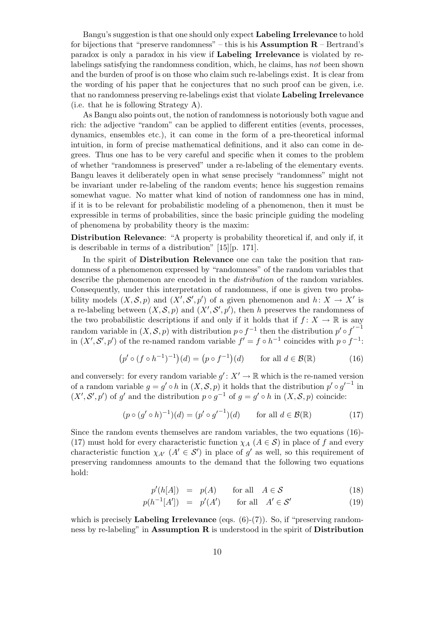Bangu's suggestion is that one should only expect Labeling Irrelevance to hold for bijections that "preserve randomness" – this is his **Assumption R** – Bertrand's paradox is only a paradox in his view if Labeling Irrelevance is violated by relabelings satisfying the randomness condition, which, he claims, has not been shown and the burden of proof is on those who claim such re-labelings exist. It is clear from the wording of his paper that he conjectures that no such proof can be given, i.e. that no randomness preserving re-labelings exist that violate Labeling Irrelevance (i.e. that he is following Strategy A).

As Bangu also points out, the notion of randomness is notoriously both vague and rich: the adjective "random" can be applied to different entities (events, processes, dynamics, ensembles etc.), it can come in the form of a pre-theoretical informal intuition, in form of precise mathematical definitions, and it also can come in degrees. Thus one has to be very careful and specific when it comes to the problem of whether "randomness is preserved" under a re-labeling of the elementary events. Bangu leaves it deliberately open in what sense precisely "randomness" might not be invariant under re-labeling of the random events; hence his suggestion remains somewhat vague. No matter what kind of notion of randomness one has in mind, if it is to be relevant for probabilistic modeling of a phenomenon, then it must be expressible in terms of probabilities, since the basic principle guiding the modeling of phenomena by probability theory is the maxim:

Distribution Relevance: "A property is probability theoretical if, and only if, it is describable in terms of a distribution" [15][p. 171].

In the spirit of **Distribution Relevance** one can take the position that randomness of a phenomenon expressed by "randomness" of the random variables that describe the phenomenon are encoded in the *distribution* of the random variables. Consequently, under this interpretation of randomness, if one is given two probability models  $(X, \mathcal{S}, p)$  and  $(X', \mathcal{S}', p')$  of a given phenomenon and  $h: X \to X'$  is a re-labeling between  $(X, \mathcal{S}, p)$  and  $(X', \mathcal{S}', p')$ , then h preserves the randomness of the two probabilistic descriptions if and only if it holds that if  $f: X \to \mathbb{R}$  is any random variable in  $(X, \mathcal{S}, p)$  with distribution  $p \circ f^{-1}$  then the distribution  $p' \circ f'^{-1}$ in  $(X', S', p')$  of the re-named random variable  $f' = f \circ h^{-1}$  coincides with  $p \circ f^{-1}$ :

$$
(p' \circ (f \circ h^{-1})^{-1})(d) = (p \circ f^{-1})(d) \quad \text{for all } d \in \mathcal{B}(\mathbb{R})
$$
 (16)

and conversely: for every random variable  $g' : X' \to \mathbb{R}$  which is the re-named version of a random variable  $g = g' \circ h$  in  $(X, \mathcal{S}, p)$  it holds that the distribution  $p' \circ g'^{-1}$  in  $(X', S', p')$  of g' and the distribution  $p \circ g^{-1}$  of  $g = g' \circ h$  in  $(X, S, p)$  coincide:

$$
(p \circ (g' \circ h)^{-1})(d) = (p' \circ g'^{-1})(d) \qquad \text{for all } d \in \mathcal{B}(\mathbb{R})
$$
 (17)

Since the random events themselves are random variables, the two equations (16)- (17) must hold for every characteristic function  $\chi_A$  ( $A \in S$ ) in place of f and every characteristic function  $\chi_{A'}(A' \in S')$  in place of g' as well, so this requirement of preserving randomness amounts to the demand that the following two equations hold:

$$
p'(h[A]) = p(A) \quad \text{for all} \quad A \in \mathcal{S} \tag{18}
$$

$$
p(h^{-1}[A']) = p'(A') \quad \text{for all} \quad A' \in \mathcal{S}' \tag{19}
$$

which is precisely Labeling Irrelevance (eqs.  $(6)-(7)$ ). So, if "preserving randomness by re-labeling" in **Assumption R** is understood in the spirit of **Distribution**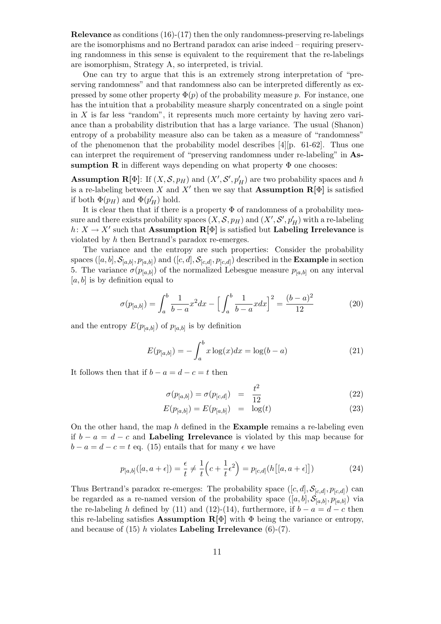Relevance as conditions (16)-(17) then the only randomness-preserving re-labelings are the isomorphisms and no Bertrand paradox can arise indeed – requiring preserving randomness in this sense is equivalent to the requirement that the re-labelings are isomorphism, Strategy A, so interpreted, is trivial.

One can try to argue that this is an extremely strong interpretation of "preserving randomness" and that randomness also can be interpreted differently as expressed by some other property  $\Phi(p)$  of the probability measure p. For instance, one has the intuition that a probability measure sharply concentrated on a single point in  $X$  is far less "random", it represents much more certainty by having zero variance than a probability distribution that has a large variance. The usual (Shanon) entropy of a probability measure also can be taken as a measure of "randomness" of the phenomenon that the probability model describes  $[4]$ [p. 61-62]. Thus one can interpret the requirement of "preserving randomness under re-labeling" in Assumption R in different ways depending on what property  $\Phi$  one chooses:

**Assumption R**[ $\Phi$ ]: If  $(X, \mathcal{S}, p_H)$  and  $(X', \mathcal{S}', p'_H)$  are two probability spaces and h is a re-labeling between X and X' then we say that **Assumption R**[ $\Phi$ ] is satisfied if both  $\Phi(p_H)$  and  $\Phi(p'_H)$  hold.

It is clear then that if there is a property  $\Phi$  of randomness of a probability measure and there exists probability spaces  $(X, \mathcal{S}, p_H)$  and  $(X', \mathcal{S}', p'_H)$  with a re-labeling  $h: X \to X'$  such that Assumption  $\mathbf{R}[\Phi]$  is satisfied but Labeling Irrelevance is violated by h then Bertrand's paradox re-emerges.

The variance and the entropy are such properties: Consider the probability spaces  $([a, b], \mathcal{S}_{[a,b]}, p_{[a,b]})$  and  $([c, d], \mathcal{S}_{[c,d]}, p_{[c,d]})$  described in the **Example** in section 5. The variance  $\sigma(p_{[a,b]})$  of the normalized Lebesgue measure  $p_{[a,b]}$  on any interval  $[a, b]$  is by definition equal to

$$
\sigma(p_{[a,b]}) = \int_{a}^{b} \frac{1}{b-a} x^2 dx - \left[ \int_{a}^{b} \frac{1}{b-a} x dx \right]^2 = \frac{(b-a)^2}{12} \tag{20}
$$

and the entropy  $E(p_{[a,b]})$  of  $p_{[a,b]}$  is by definition

$$
E(p_{[a,b]}) = -\int_{a}^{b} x \log(x) dx = \log(b-a)
$$
 (21)

It follows then that if  $b - a = d - c = t$  then

$$
\sigma(p_{[a,b]}) = \sigma(p_{[c,d]}) = \frac{t^2}{12} \tag{22}
$$

$$
E(p_{[a,b]}) = E(p_{[a,b]}) = \log(t)
$$
\n(23)

On the other hand, the map  $h$  defined in the **Example** remains a re-labeling even if  $b - a = d - c$  and Labeling Irrelevance is violated by this map because for  $b - a = d - c = t$  eq. (15) entails that for many  $\epsilon$  we have

$$
p_{[a,b]}([a,a+\epsilon]) = \frac{\epsilon}{t} \neq \frac{1}{t} \left( c + \frac{1}{t} \epsilon^2 \right) = p_{[c,d]}(h\big[[a,a+\epsilon]\big]) \tag{24}
$$

Thus Bertrand's paradox re-emerges: The probability space  $([c, d], \mathcal{S}_{[c,d]}, p_{[c,d]})$  can be regarded as a re-named version of the probability space  $([a, b], \mathcal{S}_{[a,b]}, p_{[a,b]})$  via the re-labeling h defined by (11) and (12)-(14), furthermore, if  $b - a = d - c$  then this re-labeling satisfies **Assumption R**[ $\Phi$ ] with  $\Phi$  being the variance or entropy, and because of  $(15)$  h violates **Labeling Irrelevance**  $(6)-(7)$ .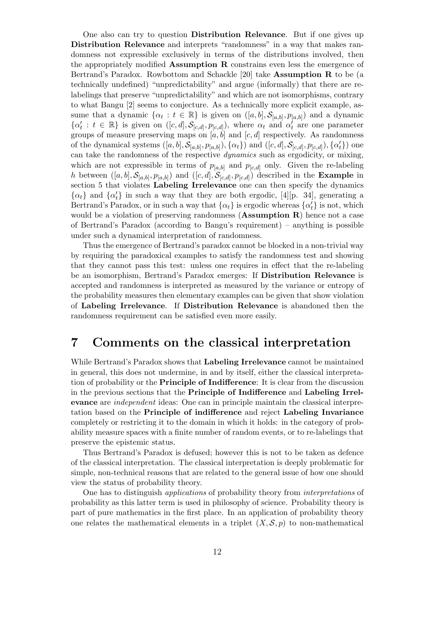One also can try to question Distribution Relevance. But if one gives up Distribution Relevance and interprets "randomness" in a way that makes randomness not expressible exclusively in terms of the distributions involved, then the appropriately modified Assumption R constrains even less the emergence of Bertrand's Paradox. Rowbottom and Schackle [20] take Assumption R to be (a technically undefined) "unpredictability" and argue (informally) that there are relabelings that preserve "unpredictability" and which are not isomorphisms, contrary to what Bangu [2] seems to conjecture. As a technically more explicit example, assume that a dynamic  $\{\alpha_t : t \in \mathbb{R}\}\$ is given on  $([a, b], \mathcal{S}_{[a,b]}, p_{[a,b]})$  and a dynamic  $\{\alpha_t^{\prime}: t \in \mathbb{R}\}\$ is given on  $([c, d], \mathcal{S}_{[c,d]}, p_{[c,d]})$ , where  $\alpha_t$  and  $\alpha_t^{\prime}$  are one parameter groups of measure preserving maps on  $[a, b]$  and  $[c, d]$  respectively. As randomness of the dynamical systems  $([a, b], \mathcal{S}_{[a,b]}, p_{[a,b]})$ ,  $\{\alpha_t\})$  and  $([c, d], \mathcal{S}_{[c,d]}, p_{[c,d]})$ ,  $\{\alpha'_t\})$  one can take the randomness of the respective dynamics such as ergodicity, or mixing, which are not expressible in terms of  $p_{[a,b]}$  and  $p_{[c,d]}$  only. Given the re-labeling h between  $([a, b], \mathcal{S}_{[a,b]}, p_{[a,b]})$  and  $([c, d], \mathcal{S}_{[c,d]}, p_{[c,d]})$  described in the **Example** in section 5 that violates Labeling Irrelevance one can then specify the dynamics  $\{\alpha_t\}$  and  $\{\alpha_t'\}$  in such a way that they are both ergodic, [4][p. 34], generating a Bertrand's Paradox, or in such a way that  $\{\alpha_t\}$  is ergodic whereas  $\{\alpha_t'\}$  is not, which would be a violation of preserving randomness  $(Assumption R)$  hence not a case of Bertrand's Paradox (according to Bangu's requirement) – anything is possible under such a dynamical interpretation of randomness.

Thus the emergence of Bertrand's paradox cannot be blocked in a non-trivial way by requiring the paradoxical examples to satisfy the randomness test and showing that they cannot pass this test: unless one requires in effect that the re-labeling be an isomorphism, Bertrand's Paradox emerges: If Distribution Relevance is accepted and randomness is interpreted as measured by the variance or entropy of the probability measures then elementary examples can be given that show violation of Labeling Irrelevance. If Distribution Relevance is abandoned then the randomness requirement can be satisfied even more easily.

## 7 Comments on the classical interpretation

While Bertrand's Paradox shows that Labeling Irrelevance cannot be maintained in general, this does not undermine, in and by itself, either the classical interpretation of probability or the Principle of Indifference: It is clear from the discussion in the previous sections that the Principle of Indifference and Labeling Irrelevance are independent ideas: One can in principle maintain the classical interpretation based on the Principle of indifference and reject Labeling Invariance completely or restricting it to the domain in which it holds: in the category of probability measure spaces with a finite number of random events, or to re-labelings that preserve the epistemic status.

Thus Bertrand's Paradox is defused; however this is not to be taken as defence of the classical interpretation. The classical interpretation is deeply problematic for simple, non-technical reasons that are related to the general issue of how one should view the status of probability theory.

One has to distinguish applications of probability theory from interpretations of probability as this latter term is used in philosophy of science. Probability theory is part of pure mathematics in the first place. In an application of probability theory one relates the mathematical elements in a triplet  $(X, \mathcal{S}, p)$  to non-mathematical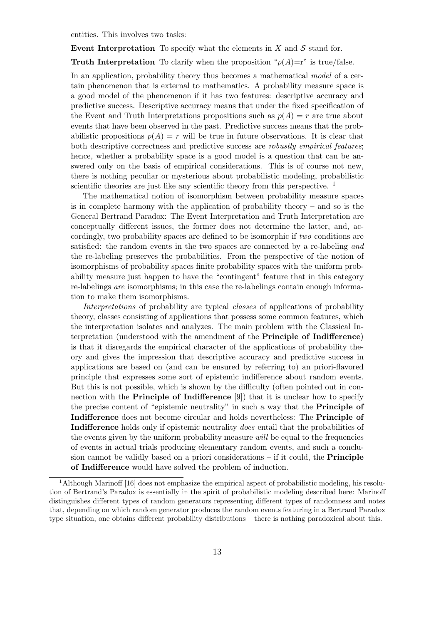entities. This involves two tasks:

Event Interpretation To specify what the elements in  $X$  and  $S$  stand for.

**Truth Interpretation** To clarify when the proposition " $p(A)=r$ " is true/false.

In an application, probability theory thus becomes a mathematical model of a certain phenomenon that is external to mathematics. A probability measure space is a good model of the phenomenon if it has two features: descriptive accuracy and predictive success. Descriptive accuracy means that under the fixed specification of the Event and Truth Interpretations propositions such as  $p(A) = r$  are true about events that have been observed in the past. Predictive success means that the probabilistic propositions  $p(A) = r$  will be true in future observations. It is clear that both descriptive correctness and predictive success are *robustly empirical features*; hence, whether a probability space is a good model is a question that can be answered only on the basis of empirical considerations. This is of course not new, there is nothing peculiar or mysterious about probabilistic modeling, probabilistic scientific theories are just like any scientific theory from this perspective.<sup>1</sup>

The mathematical notion of isomorphism between probability measure spaces is in complete harmony with the application of probability theory – and so is the General Bertrand Paradox: The Event Interpretation and Truth Interpretation are conceptually different issues, the former does not determine the latter, and, accordingly, two probability spaces are defined to be isomorphic if two conditions are satisfied: the random events in the two spaces are connected by a re-labeling and the re-labeling preserves the probabilities. From the perspective of the notion of isomorphisms of probability spaces finite probability spaces with the uniform probability measure just happen to have the "contingent" feature that in this category re-labelings are isomorphisms; in this case the re-labelings contain enough information to make them isomorphisms.

Interpretations of probability are typical classes of applications of probability theory, classes consisting of applications that possess some common features, which the interpretation isolates and analyzes. The main problem with the Classical Interpretation (understood with the amendment of the Principle of Indifference) is that it disregards the empirical character of the applications of probability theory and gives the impression that descriptive accuracy and predictive success in applications are based on (and can be ensured by referring to) an priori-flavored principle that expresses some sort of epistemic indifference about random events. But this is not possible, which is shown by the difficulty (often pointed out in connection with the **Principle of Indifference**  $[9]$  that it is unclear how to specify the precise content of "epistemic neutrality" in such a way that the Principle of Indifference does not become circular and holds nevertheless: The Principle of Indifference holds only if epistemic neutrality does entail that the probabilities of the events given by the uniform probability measure will be equal to the frequencies of events in actual trials producing elementary random events, and such a conclusion cannot be validly based on a priori considerations – if it could, the Principle of Indifference would have solved the problem of induction.

<sup>1</sup>Although Marinoff [16] does not emphasize the empirical aspect of probabilistic modeling, his resolution of Bertrand's Paradox is essentially in the spirit of probabilistic modeling described here: Marinoff distinguishes different types of random generators representing different types of randomness and notes that, depending on which random generator produces the random events featuring in a Bertrand Paradox type situation, one obtains different probability distributions – there is nothing paradoxical about this.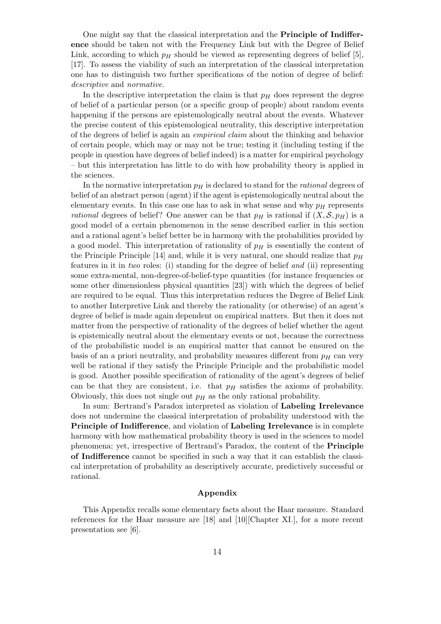One might say that the classical interpretation and the Principle of Indifference should be taken not with the Frequency Link but with the Degree of Belief Link, according to which  $p_H$  should be viewed as representing degrees of belief [5], [17]. To assess the viability of such an interpretation of the classical interpretation one has to distinguish two further specifications of the notion of degree of belief: descriptive and normative.

In the descriptive interpretation the claim is that  $p<sub>H</sub>$  does represent the degree of belief of a particular person (or a specific group of people) about random events happening if the persons are epistemologically neutral about the events. Whatever the precise content of this epistemological neutrality, this descriptive interpretation of the degrees of belief is again an empirical claim about the thinking and behavior of certain people, which may or may not be true; testing it (including testing if the people in question have degrees of belief indeed) is a matter for empirical psychology – but this interpretation has little to do with how probability theory is applied in the sciences.

In the normative interpretation  $p<sub>H</sub>$  is declared to stand for the *rational* degrees of belief of an abstract person (agent) if the agent is epistemologically neutral about the elementary events. In this case one has to ask in what sense and why  $p<sub>H</sub>$  represents rational degrees of belief? One answer can be that  $p_H$  is rational if  $(X, \mathcal{S}, p_H)$  is a good model of a certain phenomenon in the sense described earlier in this section and a rational agent's belief better be in harmony with the probabilities provided by a good model. This interpretation of rationality of  $p<sub>H</sub>$  is essentially the content of the Principle Principle [14] and, while it is very natural, one should realize that  $p<sub>H</sub>$ features in it in two roles: (i) standing for the degree of belief and (ii) representing some extra-mental, non-degree-of-belief-type quantities (for instance frequencies or some other dimensionless physical quantities [23]) with which the degrees of belief are required to be equal. Thus this interpretation reduces the Degree of Belief Link to another Interpretive Link and thereby the rationality (or otherwise) of an agent's degree of belief is made again dependent on empirical matters. But then it does not matter from the perspective of rationality of the degrees of belief whether the agent is epistemically neutral about the elementary events or not, because the correctness of the probabilistic model is an empirical matter that cannot be ensured on the basis of an a priori neutrality, and probability measures different from  $p<sub>H</sub>$  can very well be rational if they satisfy the Principle Principle and the probabilistic model is good. Another possible specification of rationality of the agent's degrees of belief can be that they are consistent, i.e. that  $p<sub>H</sub>$  satisfies the axioms of probability. Obviously, this does not single out  $p<sub>H</sub>$  as the only rational probability.

In sum: Bertrand's Paradox interpreted as violation of Labeling Irrelevance does not undermine the classical interpretation of probability understood with the Principle of Indifference, and violation of Labeling Irrelevance is in complete harmony with how mathematical probability theory is used in the sciences to model phenomena; yet, irrespective of Bertrand's Paradox, the content of the Principle of Indifference cannot be specified in such a way that it can establish the classical interpretation of probability as descriptively accurate, predictively successful or rational.

#### Appendix

This Appendix recalls some elementary facts about the Haar measure. Standard references for the Haar measure are [18] and [10][Chapter XI.], for a more recent presentation see [6].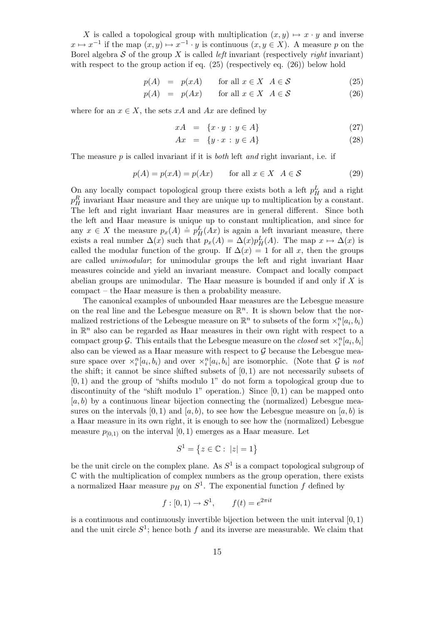X is called a topological group with multiplication  $(x, y) \mapsto x \cdot y$  and inverse  $x \mapsto x^{-1}$  if the map  $(x, y) \mapsto x^{-1} \cdot y$  is continuous  $(x, y \in X)$ . A measure p on the Borel algebra  $S$  of the group X is called *left* invariant (respectively *right* invariant) with respect to the group action if eq. (25) (respectively eq. (26)) below hold

$$
p(A) = p(xA) \quad \text{for all } x \in X \ \ A \in \mathcal{S} \tag{25}
$$

$$
p(A) = p(Ax) \qquad \text{for all } x \in X \ \ A \in \mathcal{S} \tag{26}
$$

where for an  $x \in X$ , the sets xA and Ax are defined by

$$
xA = \{x \cdot y : y \in A\} \tag{27}
$$

$$
Ax = \{y \cdot x : y \in A\} \tag{28}
$$

The measure  $p$  is called invariant if it is *both* left and right invariant, i.e. if

$$
p(A) = p(xA) = p(Ax) \qquad \text{for all } x \in X \ \ A \in \mathcal{S} \tag{29}
$$

On any locally compact topological group there exists both a left  $p_H^L$  and a right  $p_H^R$  invariant Haar measure and they are unique up to multiplication by a constant. The left and right invariant Haar measures are in general different. Since both the left and Haar measure is unique up to constant multiplication, and since for any  $x \in X$  the measure  $p_x(A) \doteq p^L_H(Ax)$  is again a left invariant measure, there exists a real number  $\Delta(x)$  such that  $p_x(A) = \Delta(x)p_H^L(A)$ . The map  $x \mapsto \Delta(x)$  is called the modular function of the group. If  $\Delta(x) = 1$  for all x, then the groups are called unimodular; for unimodular groups the left and right invariant Haar measures coincide and yield an invariant measure. Compact and locally compact abelian groups are unimodular. The Haar measure is bounded if and only if  $X$  is compact – the Haar measure is then a probability measure.

The canonical examples of unbounded Haar measures are the Lebesgue measure on the real line and the Lebesgue measure on  $\mathbb{R}^n$ . It is shown below that the normalized restrictions of the Lebesgue measure on  $\mathbb{R}^n$  to subsets of the form  $\times_i^n[a_i,b_i)$ in  $\mathbb{R}^n$  also can be regarded as Haar measures in their own right with respect to a compact group  $\mathcal{G}$ . This entails that the Lebesgue measure on the *closed* set  $\chi_i^n[a_i, b_i]$ also can be viewed as a Haar measure with respect to  $\mathcal G$  because the Lebesgue measure space over  $\times_i^n[a_i,b_i]$  and over  $\times_i^n[a_i,b_i]$  are isomorphic. (Note that  $G$  is not the shift; it cannot be since shifted subsets of  $[0, 1)$  are not necessarily subsets of [0, 1) and the group of "shifts modulo 1" do not form a topological group due to discontinuity of the "shift modulo 1" operation.) Since  $[0,1)$  can be mapped onto  $[a, b]$  by a continuous linear bijection connecting the (normalized) Lebesgue measures on the intervals  $[0, 1)$  and  $[a, b)$ , to see how the Lebesgue measure on  $[a, b)$  is a Haar measure in its own right, it is enough to see how the (normalized) Lebesgue measure  $p_{[0,1)}$  on the interval  $[0,1)$  emerges as a Haar measure. Let

$$
S^1 = \{ z \in \mathbb{C} : |z| = 1 \}
$$

be the unit circle on the complex plane. As  $S<sup>1</sup>$  is a compact topological subgroup of  $\mathbb C$  with the multiplication of complex numbers as the group operation, there exists a normalized Haar measure  $p_H$  on  $S^1$ . The exponential function f defined by

$$
f: [0, 1) \to S^1
$$
,  $f(t) = e^{2\pi it}$ 

is a continuous and continuously invertible bijection between the unit interval  $[0, 1)$ and the unit circle  $S^1$ ; hence both f and its inverse are measurable. We claim that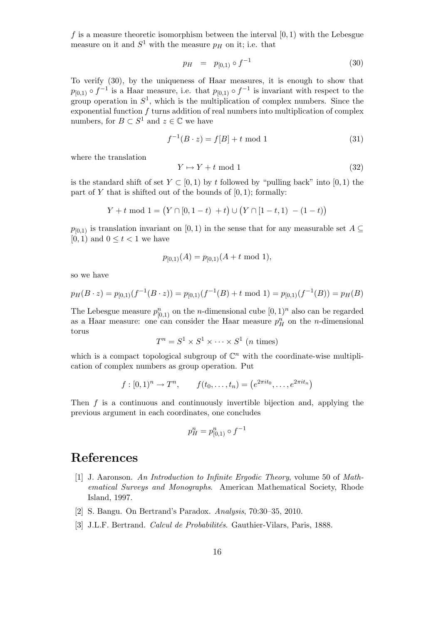f is a measure theoretic isomorphism between the interval  $[0, 1)$  with the Lebesgue measure on it and  $S^1$  with the measure  $p<sub>H</sub>$  on it; i.e. that

$$
p_H = p_{[0,1)} \circ f^{-1} \tag{30}
$$

To verify (30), by the uniqueness of Haar measures, it is enough to show that  $p_{[0,1)} \circ f^{-1}$  is a Haar measure, i.e. that  $p_{[0,1)} \circ f^{-1}$  is invariant with respect to the group operation in  $S^1$ , which is the multiplication of complex numbers. Since the exponential function  $f$  turns addition of real numbers into multiplication of complex numbers, for  $B \subset S^1$  and  $z \in \mathbb{C}$  we have

$$
f^{-1}(B \cdot z) = f[B] + t \mod 1 \tag{31}
$$

where the translation

$$
Y \mapsto Y + t \mod 1 \tag{32}
$$

is the standard shift of set  $Y \subset [0, 1)$  by t followed by "pulling back" into  $[0, 1)$  the part of Y that is shifted out of the bounds of  $[0, 1)$ ; formally:

$$
Y + t \mod 1 = (Y \cap [0, 1-t) + t) \cup (Y \cap [1-t, 1) - (1-t))
$$

 $p_{[0,1)}$  is translation invariant on [0, 1) in the sense that for any measurable set  $A \subseteq$  $[0, 1)$  and  $0 \le t < 1$  we have

$$
p_{[0,1)}(A) = p_{[0,1)}(A + t \mod 1),
$$

so we have

$$
p_H(B \cdot z) = p_{[0,1)}(f^{-1}(B \cdot z)) = p_{[0,1)}(f^{-1}(B) + t \mod 1) = p_{[0,1)}(f^{-1}(B)) = p_H(B)
$$

The Lebesgue measure  $p_{[0,1)}^n$  on the *n*-dimensional cube  $[0,1)^n$  also can be regarded as a Haar measure: one can consider the Haar measure  $p_H^n$  on the *n*-dimensional torus

$$
T^n = S^1 \times S^1 \times \cdots \times S^1 \ (n \ \text{times})
$$

which is a compact topological subgroup of  $\mathbb{C}^n$  with the coordinate-wise multiplication of complex numbers as group operation. Put

$$
f: [0, 1)^n \to T^n
$$
,  $f(t_0, ..., t_n) = (e^{2\pi i t_0}, ..., e^{2\pi i t_n})$ 

Then  $f$  is a continuous and continuously invertible bijection and, applying the previous argument in each coordinates, one concludes

$$
p_H^n = p_{[0,1)}^n \circ f^{-1}
$$

#### References

- [1] J. Aaronson. An Introduction to Infinite Ergodic Theory, volume 50 of Mathematical Surveys and Monographs. American Mathematical Society, Rhode Island, 1997.
- [2] S. Bangu. On Bertrand's Paradox. Analysis, 70:30–35, 2010.
- [3] J.L.F. Bertrand. Calcul de Probabilités. Gauthier-Vilars, Paris, 1888.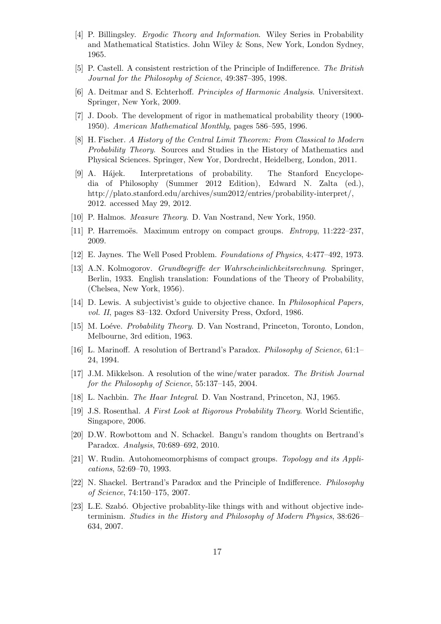- [4] P. Billingsley. Ergodic Theory and Information. Wiley Series in Probability and Mathematical Statistics. John Wiley & Sons, New York, London Sydney, 1965.
- [5] P. Castell. A consistent restriction of the Principle of Indifference. The British Journal for the Philosophy of Science, 49:387–395, 1998.
- [6] A. Deitmar and S. Echterhoff. Principles of Harmonic Analysis. Universitext. Springer, New York, 2009.
- [7] J. Doob. The development of rigor in mathematical probability theory (1900- 1950). American Mathematical Monthly, pages 586–595, 1996.
- [8] H. Fischer. A History of the Central Limit Theorem: From Classical to Modern Probability Theory. Sources and Studies in the History of Mathematics and Physical Sciences. Springer, New Yor, Dordrecht, Heidelberg, London, 2011.
- [9] A. H´ajek. Interpretations of probability. The Stanford Encyclopedia of Philosophy (Summer 2012 Edition), Edward N. Zalta (ed.), http://plato.stanford.edu/archives/sum2012/entries/probability-interpret/, 2012. accessed May 29, 2012.
- [10] P. Halmos. Measure Theory. D. Van Nostrand, New York, 1950.
- [11] P. Harremoës. Maximum entropy on compact groups.  $Entropy, 11:222-237$ , 2009.
- [12] E. Jaynes. The Well Posed Problem. Foundations of Physics, 4:477–492, 1973.
- [13] A.N. Kolmogorov. Grundbegriffe der Wahrscheinlichkeitsrechnung. Springer, Berlin, 1933. English translation: Foundations of the Theory of Probability, (Chelsea, New York, 1956).
- [14] D. Lewis. A subjectivist's guide to objective chance. In Philosophical Papers, vol. II, pages 83–132. Oxford University Press, Oxford, 1986.
- [15] M. Loéve. *Probability Theory.* D. Van Nostrand, Princeton, Toronto, London, Melbourne, 3rd edition, 1963.
- [16] L. Marinoff. A resolution of Bertrand's Paradox. Philosophy of Science, 61:1– 24, 1994.
- [17] J.M. Mikkelson. A resolution of the wine/water paradox. The British Journal for the Philosophy of Science, 55:137–145, 2004.
- [18] L. Nachbin. The Haar Integral. D. Van Nostrand, Princeton, NJ, 1965.
- [19] J.S. Rosenthal. A First Look at Rigorous Probability Theory. World Scientific, Singapore, 2006.
- [20] D.W. Rowbottom and N. Schackel. Bangu's random thoughts on Bertrand's Paradox. Analysis, 70:689–692, 2010.
- [21] W. Rudin. Autohomeomorphisms of compact groups. Topology and its Applications, 52:69–70, 1993.
- [22] N. Shackel. Bertrand's Paradox and the Principle of Indifference. Philosophy of Science, 74:150–175, 2007.
- [23] L.E. Szabó. Objective probablity-like things with and without objective indeterminism. Studies in the History and Philosophy of Modern Physics, 38:626– 634, 2007.